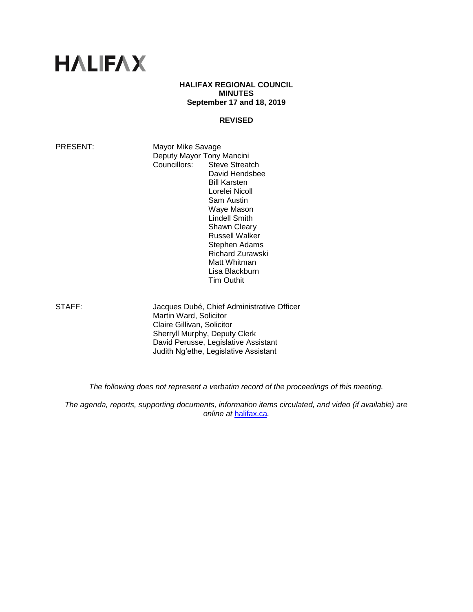# **HALIFAX**

#### **HALIFAX REGIONAL COUNCIL MINUTES September 17 and 18, 2019**

#### **REVISED**

PRESENT: Mayor Mike Savage Deputy Mayor Tony Mancini Councillors: Steve Streatch David Hendsbee Bill Karsten Lorelei Nicoll Sam Austin Waye Mason Lindell Smith Shawn Cleary Russell Walker Stephen Adams Richard Zurawski Matt Whitman

STAFF: Jacques Dubé, Chief Administrative Officer Martin Ward, Solicitor Claire Gillivan, Solicitor Sherryll Murphy, Deputy Clerk David Perusse, Legislative Assistant Judith Ng'ethe, Legislative Assistant

Lisa Blackburn Tim Outhit

*The following does not represent a verbatim record of the proceedings of this meeting.*

*The agenda, reports, supporting documents, information items circulated, and video (if available) are online at* [halifax.ca](http://www.halifax.ca/)*.*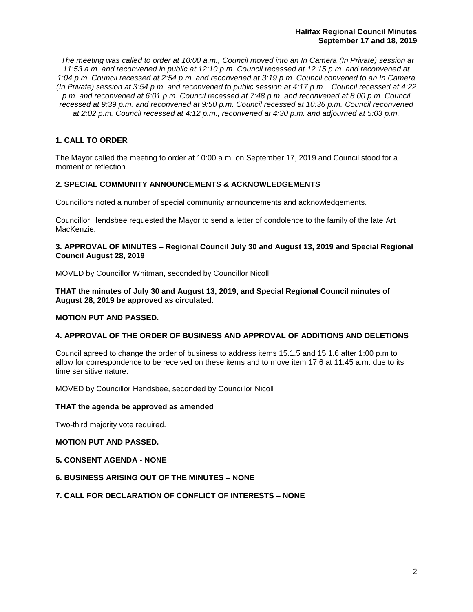*The meeting was called to order at 10:00 a.m., Council moved into an In Camera (In Private) session at 11:53 a.m. and reconvened in public at 12:10 p.m. Council recessed at 12.15 p.m. and reconvened at 1:04 p.m. Council recessed at 2:54 p.m. and reconvened at 3:19 p.m. Council convened to an In Camera (In Private) session at 3:54 p.m. and reconvened to public session at 4:17 p.m.. Council recessed at 4:22 p.m. and reconvened at 6:01 p.m. Council recessed at 7:48 p.m. and reconvened at 8:00 p.m. Council recessed at 9:39 p.m. and reconvened at 9:50 p.m. Council recessed at 10:36 p.m. Council reconvened at 2:02 p.m. Council recessed at 4:12 p.m., reconvened at 4:30 p.m. and adjourned at 5:03 p.m.* 

## **1. CALL TO ORDER**

The Mayor called the meeting to order at 10:00 a.m. on September 17, 2019 and Council stood for a moment of reflection.

## **2. SPECIAL COMMUNITY ANNOUNCEMENTS & ACKNOWLEDGEMENTS**

Councillors noted a number of special community announcements and acknowledgements.

Councillor Hendsbee requested the Mayor to send a letter of condolence to the family of the late Art MacKenzie.

#### **3. APPROVAL OF MINUTES – Regional Council July 30 and August 13, 2019 and Special Regional Council August 28, 2019**

MOVED by Councillor Whitman, seconded by Councillor Nicoll

**THAT the minutes of July 30 and August 13, 2019, and Special Regional Council minutes of August 28, 2019 be approved as circulated.**

#### **MOTION PUT AND PASSED.**

## **4. APPROVAL OF THE ORDER OF BUSINESS AND APPROVAL OF ADDITIONS AND DELETIONS**

Council agreed to change the order of business to address items 15.1.5 and 15.1.6 after 1:00 p.m to allow for correspondence to be received on these items and to move item 17.6 at 11:45 a.m. due to its time sensitive nature.

MOVED by Councillor Hendsbee, seconded by Councillor Nicoll

#### **THAT the agenda be approved as amended**

Two-third majority vote required.

## **MOTION PUT AND PASSED.**

**5. CONSENT AGENDA - NONE**

#### **6. BUSINESS ARISING OUT OF THE MINUTES – NONE**

#### **7. CALL FOR DECLARATION OF CONFLICT OF INTERESTS – NONE**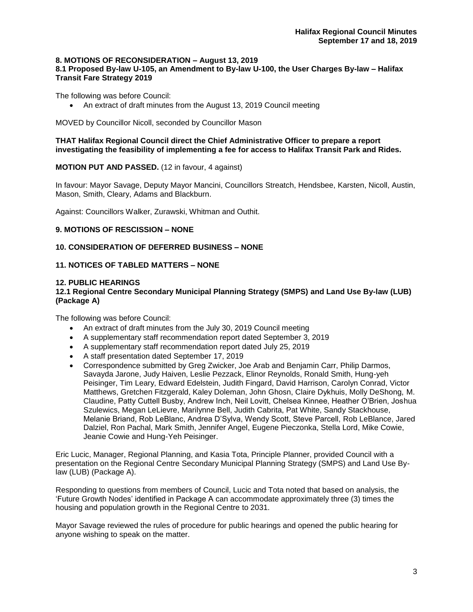## **8. MOTIONS OF RECONSIDERATION – August 13, 2019**

#### **8.1 Proposed By-law U-105, an Amendment to By-law U-100, the User Charges By-law – Halifax Transit Fare Strategy 2019**

The following was before Council:

• An extract of draft minutes from the August 13, 2019 Council meeting

MOVED by Councillor Nicoll, seconded by Councillor Mason

**THAT Halifax Regional Council direct the Chief Administrative Officer to prepare a report investigating the feasibility of implementing a fee for access to Halifax Transit Park and Rides.**

## **MOTION PUT AND PASSED.** (12 in favour, 4 against)

In favour: Mayor Savage, Deputy Mayor Mancini, Councillors Streatch, Hendsbee, Karsten, Nicoll, Austin, Mason, Smith, Cleary, Adams and Blackburn.

Against: Councillors Walker, Zurawski, Whitman and Outhit.

## **9. MOTIONS OF RESCISSION – NONE**

## **10. CONSIDERATION OF DEFERRED BUSINESS – NONE**

## **11. NOTICES OF TABLED MATTERS – NONE**

## **12. PUBLIC HEARINGS**

#### **12.1 Regional Centre Secondary Municipal Planning Strategy (SMPS) and Land Use By-law (LUB) (Package A)**

The following was before Council:

- An extract of draft minutes from the July 30, 2019 Council meeting
- A supplementary staff recommendation report dated September 3, 2019
- A supplementary staff recommendation report dated July 25, 2019
- A staff presentation dated September 17, 2019
- Correspondence submitted by Greg Zwicker, Joe Arab and Benjamin Carr, Philip Darmos, Savayda Jarone, Judy Haiven, Leslie Pezzack, Elinor Reynolds, Ronald Smith, Hung-yeh Peisinger, Tim Leary, Edward Edelstein, Judith Fingard, David Harrison, Carolyn Conrad, Victor Matthews, Gretchen Fitzgerald, Kaley Doleman, John Ghosn, Claire Dykhuis, Molly DeShong, M. Claudine, Patty Cuttell Busby, Andrew Inch, Neil Lovitt, Chelsea Kinnee, Heather O'Brien, Joshua Szulewics, Megan LeLievre, Marilynne Bell, Judith Cabrita, Pat White, Sandy Stackhouse, Melanie Briand, Rob LeBlanc, Andrea D'Sylva, Wendy Scott, Steve Parcell, Rob LeBlance, Jared Dalziel, Ron Pachal, Mark Smith, Jennifer Angel, Eugene Pieczonka, Stella Lord, Mike Cowie, Jeanie Cowie and Hung-Yeh Peisinger.

Eric Lucic, Manager, Regional Planning, and Kasia Tota, Principle Planner, provided Council with a presentation on the Regional Centre Secondary Municipal Planning Strategy (SMPS) and Land Use Bylaw (LUB) (Package A).

Responding to questions from members of Council, Lucic and Tota noted that based on analysis, the 'Future Growth Nodes' identified in Package A can accommodate approximately three (3) times the housing and population growth in the Regional Centre to 2031.

Mayor Savage reviewed the rules of procedure for public hearings and opened the public hearing for anyone wishing to speak on the matter.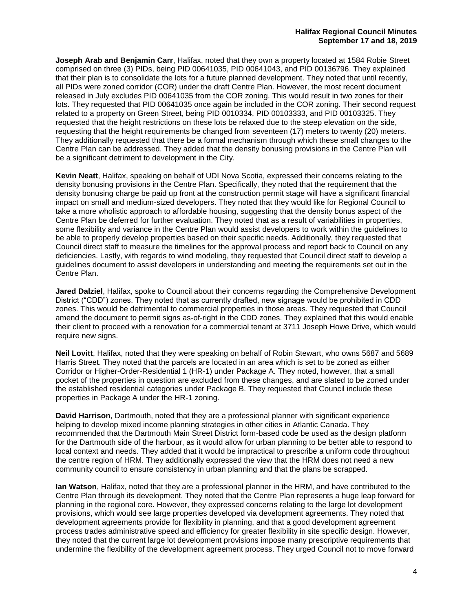**Joseph Arab and Benjamin Carr**, Halifax, noted that they own a property located at 1584 Robie Street comprised on three (3) PIDs, being PID 00641035, PID 00641043, and PID 00136796. They explained that their plan is to consolidate the lots for a future planned development. They noted that until recently, all PIDs were zoned corridor (COR) under the draft Centre Plan. However, the most recent document released in July excludes PID 00641035 from the COR zoning. This would result in two zones for their lots. They requested that PID 00641035 once again be included in the COR zoning. Their second request related to a property on Green Street, being PID 0010334, PID 00103333, and PID 00103325. They requested that the height restrictions on these lots be relaxed due to the steep elevation on the side, requesting that the height requirements be changed from seventeen (17) meters to twenty (20) meters. They additionally requested that there be a formal mechanism through which these small changes to the Centre Plan can be addressed. They added that the density bonusing provisions in the Centre Plan will be a significant detriment to development in the City.

**Kevin Neatt**, Halifax, speaking on behalf of UDI Nova Scotia, expressed their concerns relating to the density bonusing provisions in the Centre Plan. Specifically, they noted that the requirement that the density bonusing charge be paid up front at the construction permit stage will have a significant financial impact on small and medium-sized developers. They noted that they would like for Regional Council to take a more wholistic approach to affordable housing, suggesting that the density bonus aspect of the Centre Plan be deferred for further evaluation. They noted that as a result of variabilities in properties, some flexibility and variance in the Centre Plan would assist developers to work within the guidelines to be able to properly develop properties based on their specific needs. Additionally, they requested that Council direct staff to measure the timelines for the approval process and report back to Council on any deficiencies. Lastly, with regards to wind modeling, they requested that Council direct staff to develop a guidelines document to assist developers in understanding and meeting the requirements set out in the Centre Plan.

**Jared Dalziel**, Halifax, spoke to Council about their concerns regarding the Comprehensive Development District ("CDD") zones. They noted that as currently drafted, new signage would be prohibited in CDD zones. This would be detrimental to commercial properties in those areas. They requested that Council amend the document to permit signs as-of-right in the CDD zones. They explained that this would enable their client to proceed with a renovation for a commercial tenant at 3711 Joseph Howe Drive, which would require new signs.

**Neil Lovitt**, Halifax, noted that they were speaking on behalf of Robin Stewart, who owns 5687 and 5689 Harris Street. They noted that the parcels are located in an area which is set to be zoned as either Corridor or Higher-Order-Residential 1 (HR-1) under Package A. They noted, however, that a small pocket of the properties in question are excluded from these changes, and are slated to be zoned under the established residential categories under Package B. They requested that Council include these properties in Package A under the HR-1 zoning.

**David Harrison**, Dartmouth, noted that they are a professional planner with significant experience helping to develop mixed income planning strategies in other cities in Atlantic Canada. They recommended that the Dartmouth Main Street District form-based code be used as the design platform for the Dartmouth side of the harbour, as it would allow for urban planning to be better able to respond to local context and needs. They added that it would be impractical to prescribe a uniform code throughout the centre region of HRM. They additionally expressed the view that the HRM does not need a new community council to ensure consistency in urban planning and that the plans be scrapped.

**Ian Watson**, Halifax, noted that they are a professional planner in the HRM, and have contributed to the Centre Plan through its development. They noted that the Centre Plan represents a huge leap forward for planning in the regional core. However, they expressed concerns relating to the large lot development provisions, which would see large properties developed via development agreements. They noted that development agreements provide for flexibility in planning, and that a good development agreement process trades administrative speed and efficiency for greater flexibility in site specific design. However, they noted that the current large lot development provisions impose many prescriptive requirements that undermine the flexibility of the development agreement process. They urged Council not to move forward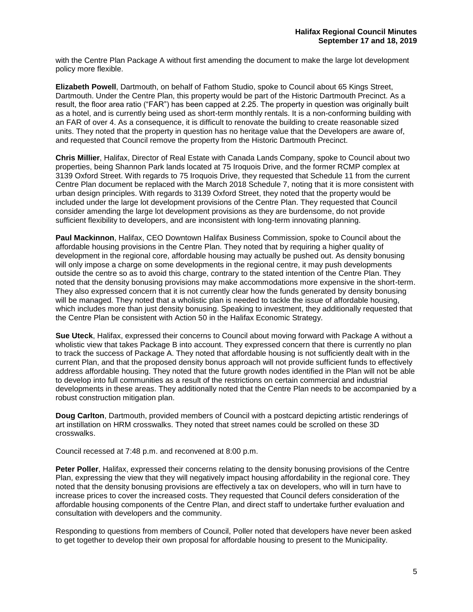with the Centre Plan Package A without first amending the document to make the large lot development policy more flexible.

**Elizabeth Powell**, Dartmouth, on behalf of Fathom Studio, spoke to Council about 65 Kings Street, Dartmouth. Under the Centre Plan, this property would be part of the Historic Dartmouth Precinct. As a result, the floor area ratio ("FAR") has been capped at 2.25. The property in question was originally built as a hotel, and is currently being used as short-term monthly rentals. It is a non-conforming building with an FAR of over 4. As a consequence, it is difficult to renovate the building to create reasonable sized units. They noted that the property in question has no heritage value that the Developers are aware of, and requested that Council remove the property from the Historic Dartmouth Precinct.

**Chris Millier**, Halifax, Director of Real Estate with Canada Lands Company, spoke to Council about two properties, being Shannon Park lands located at 75 Iroquois Drive, and the former RCMP complex at 3139 Oxford Street. With regards to 75 Iroquois Drive, they requested that Schedule 11 from the current Centre Plan document be replaced with the March 2018 Schedule 7, noting that it is more consistent with urban design principles. With regards to 3139 Oxford Street, they noted that the property would be included under the large lot development provisions of the Centre Plan. They requested that Council consider amending the large lot development provisions as they are burdensome, do not provide sufficient flexibility to developers, and are inconsistent with long-term innovating planning.

**Paul Mackinnon**, Halifax, CEO Downtown Halifax Business Commission, spoke to Council about the affordable housing provisions in the Centre Plan. They noted that by requiring a higher quality of development in the regional core, affordable housing may actually be pushed out. As density bonusing will only impose a charge on some developments in the regional centre, it may push developments outside the centre so as to avoid this charge, contrary to the stated intention of the Centre Plan. They noted that the density bonusing provisions may make accommodations more expensive in the short-term. They also expressed concern that it is not currently clear how the funds generated by density bonusing will be managed. They noted that a wholistic plan is needed to tackle the issue of affordable housing, which includes more than just density bonusing. Speaking to investment, they additionally requested that the Centre Plan be consistent with Action 50 in the Halifax Economic Strategy.

**Sue Uteck**, Halifax, expressed their concerns to Council about moving forward with Package A without a wholistic view that takes Package B into account. They expressed concern that there is currently no plan to track the success of Package A. They noted that affordable housing is not sufficiently dealt with in the current Plan, and that the proposed density bonus approach will not provide sufficient funds to effectively address affordable housing. They noted that the future growth nodes identified in the Plan will not be able to develop into full communities as a result of the restrictions on certain commercial and industrial developments in these areas. They additionally noted that the Centre Plan needs to be accompanied by a robust construction mitigation plan.

**Doug Carlton**, Dartmouth, provided members of Council with a postcard depicting artistic renderings of art instillation on HRM crosswalks. They noted that street names could be scrolled on these 3D crosswalks.

Council recessed at 7:48 p.m. and reconvened at 8:00 p.m.

**Peter Poller**, Halifax, expressed their concerns relating to the density bonusing provisions of the Centre Plan, expressing the view that they will negatively impact housing affordability in the regional core. They noted that the density bonusing provisions are effectively a tax on developers, who will in turn have to increase prices to cover the increased costs. They requested that Council defers consideration of the affordable housing components of the Centre Plan, and direct staff to undertake further evaluation and consultation with developers and the community.

Responding to questions from members of Council, Poller noted that developers have never been asked to get together to develop their own proposal for affordable housing to present to the Municipality.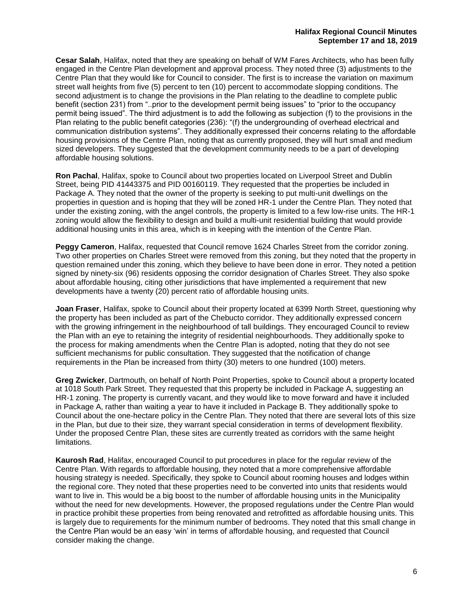**Cesar Salah**, Halifax, noted that they are speaking on behalf of WM Fares Architects, who has been fully engaged in the Centre Plan development and approval process. They noted three (3) adjustments to the Centre Plan that they would like for Council to consider. The first is to increase the variation on maximum street wall heights from five (5) percent to ten (10) percent to accommodate slopping conditions. The second adjustment is to change the provisions in the Plan relating to the deadline to complete public benefit (section 231) from "..prior to the development permit being issues" to "prior to the occupancy permit being issued". The third adjustment is to add the following as subjection (f) to the provisions in the Plan relating to the public benefit categories (236): "(f) the undergrounding of overhead electrical and communication distribution systems". They additionally expressed their concerns relating to the affordable housing provisions of the Centre Plan, noting that as currently proposed, they will hurt small and medium sized developers. They suggested that the development community needs to be a part of developing affordable housing solutions.

**Ron Pachal**, Halifax, spoke to Council about two properties located on Liverpool Street and Dublin Street, being PID 41443375 and PID 00160119. They requested that the properties be included in Package A. They noted that the owner of the property is seeking to put multi-unit dwellings on the properties in question and is hoping that they will be zoned HR-1 under the Centre Plan. They noted that under the existing zoning, with the angel controls, the property is limited to a few low-rise units. The HR-1 zoning would allow the flexibility to design and build a multi-unit residential building that would provide additional housing units in this area, which is in keeping with the intention of the Centre Plan.

**Peggy Cameron**, Halifax, requested that Council remove 1624 Charles Street from the corridor zoning. Two other properties on Charles Street were removed from this zoning, but they noted that the property in question remained under this zoning, which they believe to have been done in error. They noted a petition signed by ninety-six (96) residents opposing the corridor designation of Charles Street. They also spoke about affordable housing, citing other jurisdictions that have implemented a requirement that new developments have a twenty (20) percent ratio of affordable housing units.

**Joan Fraser**, Halifax, spoke to Council about their property located at 6399 North Street, questioning why the property has been included as part of the Chebucto corridor. They additionally expressed concern with the growing infringement in the neighbourhood of tall buildings. They encouraged Council to review the Plan with an eye to retaining the integrity of residential neighbourhoods. They additionally spoke to the process for making amendments when the Centre Plan is adopted, noting that they do not see sufficient mechanisms for public consultation. They suggested that the notification of change requirements in the Plan be increased from thirty (30) meters to one hundred (100) meters.

**Greg Zwicker**, Dartmouth, on behalf of North Point Properties, spoke to Council about a property located at 1018 South Park Street. They requested that this property be included in Package A, suggesting an HR-1 zoning. The property is currently vacant, and they would like to move forward and have it included in Package A, rather than waiting a year to have it included in Package B. They additionally spoke to Council about the one-hectare policy in the Centre Plan. They noted that there are several lots of this size in the Plan, but due to their size, they warrant special consideration in terms of development flexibility. Under the proposed Centre Plan, these sites are currently treated as corridors with the same height limitations.

**Kaurosh Rad**, Halifax, encouraged Council to put procedures in place for the regular review of the Centre Plan. With regards to affordable housing, they noted that a more comprehensive affordable housing strategy is needed. Specifically, they spoke to Council about rooming houses and lodges within the regional core. They noted that these properties need to be converted into units that residents would want to live in. This would be a big boost to the number of affordable housing units in the Municipality without the need for new developments. However, the proposed regulations under the Centre Plan would in practice prohibit these properties from being renovated and retrofitted as affordable housing units. This is largely due to requirements for the minimum number of bedrooms. They noted that this small change in the Centre Plan would be an easy 'win' in terms of affordable housing, and requested that Council consider making the change.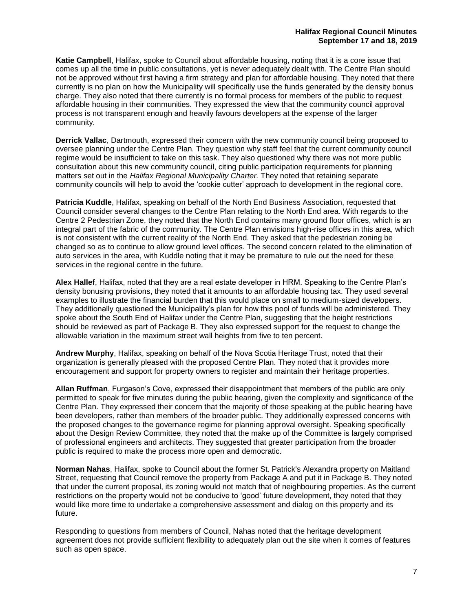**Katie Campbell**, Halifax, spoke to Council about affordable housing, noting that it is a core issue that comes up all the time in public consultations, yet is never adequately dealt with. The Centre Plan should not be approved without first having a firm strategy and plan for affordable housing. They noted that there currently is no plan on how the Municipality will specifically use the funds generated by the density bonus charge. They also noted that there currently is no formal process for members of the public to request affordable housing in their communities. They expressed the view that the community council approval process is not transparent enough and heavily favours developers at the expense of the larger community.

**Derrick Vallac**, Dartmouth, expressed their concern with the new community council being proposed to oversee planning under the Centre Plan. They question why staff feel that the current community council regime would be insufficient to take on this task. They also questioned why there was not more public consultation about this new community council, citing public participation requirements for planning matters set out in the *Halifax Regional Municipality Charter.* They noted that retaining separate community councils will help to avoid the 'cookie cutter' approach to development in the regional core.

**Patricia Kuddle**, Halifax, speaking on behalf of the North End Business Association, requested that Council consider several changes to the Centre Plan relating to the North End area. With regards to the Centre 2 Pedestrian Zone, they noted that the North End contains many ground floor offices, which is an integral part of the fabric of the community. The Centre Plan envisions high-rise offices in this area, which is not consistent with the current reality of the North End. They asked that the pedestrian zoning be changed so as to continue to allow ground level offices. The second concern related to the elimination of auto services in the area, with Kuddle noting that it may be premature to rule out the need for these services in the regional centre in the future.

**Alex Hallef**, Halifax, noted that they are a real estate developer in HRM. Speaking to the Centre Plan's density bonusing provisions, they noted that it amounts to an affordable housing tax. They used several examples to illustrate the financial burden that this would place on small to medium-sized developers. They additionally questioned the Municipality's plan for how this pool of funds will be administered. They spoke about the South End of Halifax under the Centre Plan, suggesting that the height restrictions should be reviewed as part of Package B. They also expressed support for the request to change the allowable variation in the maximum street wall heights from five to ten percent.

**Andrew Murphy**, Halifax, speaking on behalf of the Nova Scotia Heritage Trust, noted that their organization is generally pleased with the proposed Centre Plan. They noted that it provides more encouragement and support for property owners to register and maintain their heritage properties.

**Allan Ruffman**, Furgason's Cove, expressed their disappointment that members of the public are only permitted to speak for five minutes during the public hearing, given the complexity and significance of the Centre Plan. They expressed their concern that the majority of those speaking at the public hearing have been developers, rather than members of the broader public. They additionally expressed concerns with the proposed changes to the governance regime for planning approval oversight. Speaking specifically about the Design Review Committee, they noted that the make up of the Committee is largely comprised of professional engineers and architects. They suggested that greater participation from the broader public is required to make the process more open and democratic.

**Norman Nahas**, Halifax, spoke to Council about the former St. Patrick's Alexandra property on Maitland Street, requesting that Council remove the property from Package A and put it in Package B. They noted that under the current proposal, its zoning would not match that of neighbouring properties. As the current restrictions on the property would not be conducive to 'good' future development, they noted that they would like more time to undertake a comprehensive assessment and dialog on this property and its future.

Responding to questions from members of Council, Nahas noted that the heritage development agreement does not provide sufficient flexibility to adequately plan out the site when it comes of features such as open space.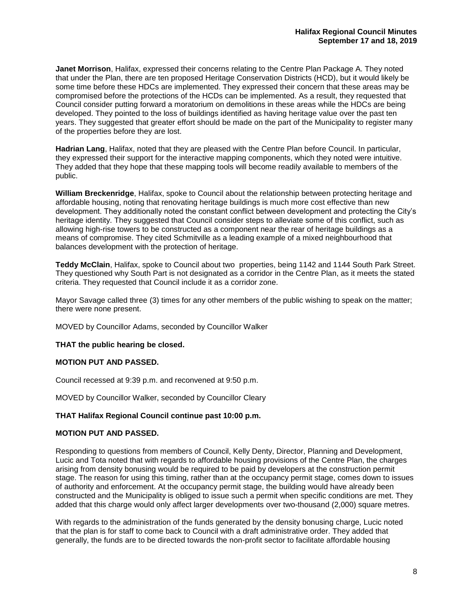**Janet Morrison**, Halifax, expressed their concerns relating to the Centre Plan Package A. They noted that under the Plan, there are ten proposed Heritage Conservation Districts (HCD), but it would likely be some time before these HDCs are implemented. They expressed their concern that these areas may be compromised before the protections of the HCDs can be implemented. As a result, they requested that Council consider putting forward a moratorium on demolitions in these areas while the HDCs are being developed. They pointed to the loss of buildings identified as having heritage value over the past ten years. They suggested that greater effort should be made on the part of the Municipality to register many of the properties before they are lost.

**Hadrian Lang**, Halifax, noted that they are pleased with the Centre Plan before Council. In particular, they expressed their support for the interactive mapping components, which they noted were intuitive. They added that they hope that these mapping tools will become readily available to members of the public.

**William Breckenridge**, Halifax, spoke to Council about the relationship between protecting heritage and affordable housing, noting that renovating heritage buildings is much more cost effective than new development. They additionally noted the constant conflict between development and protecting the City's heritage identity. They suggested that Council consider steps to alleviate some of this conflict, such as allowing high-rise towers to be constructed as a component near the rear of heritage buildings as a means of compromise. They cited Schmitville as a leading example of a mixed neighbourhood that balances development with the protection of heritage.

**Teddy McClain**, Halifax, spoke to Council about two properties, being 1142 and 1144 South Park Street. They questioned why South Part is not designated as a corridor in the Centre Plan, as it meets the stated criteria. They requested that Council include it as a corridor zone.

Mayor Savage called three (3) times for any other members of the public wishing to speak on the matter; there were none present.

MOVED by Councillor Adams, seconded by Councillor Walker

#### **THAT the public hearing be closed.**

#### **MOTION PUT AND PASSED.**

Council recessed at 9:39 p.m. and reconvened at 9:50 p.m.

MOVED by Councillor Walker, seconded by Councillor Cleary

#### **THAT Halifax Regional Council continue past 10:00 p.m.**

#### **MOTION PUT AND PASSED.**

Responding to questions from members of Council, Kelly Denty, Director, Planning and Development, Lucic and Tota noted that with regards to affordable housing provisions of the Centre Plan, the charges arising from density bonusing would be required to be paid by developers at the construction permit stage. The reason for using this timing, rather than at the occupancy permit stage, comes down to issues of authority and enforcement. At the occupancy permit stage, the building would have already been constructed and the Municipality is obliged to issue such a permit when specific conditions are met. They added that this charge would only affect larger developments over two-thousand (2,000) square metres.

With regards to the administration of the funds generated by the density bonusing charge, Lucic noted that the plan is for staff to come back to Council with a draft administrative order. They added that generally, the funds are to be directed towards the non-profit sector to facilitate affordable housing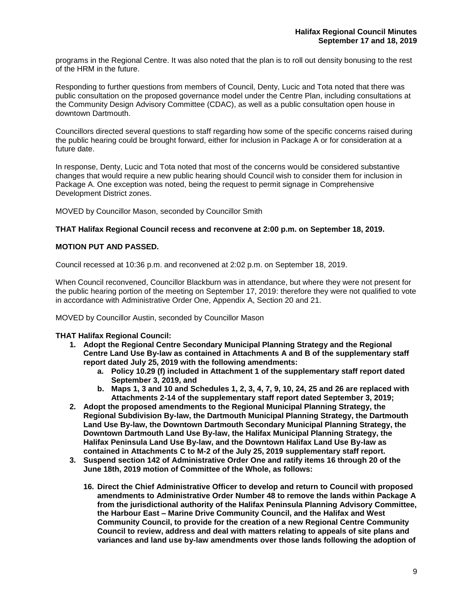programs in the Regional Centre. It was also noted that the plan is to roll out density bonusing to the rest of the HRM in the future.

Responding to further questions from members of Council, Denty, Lucic and Tota noted that there was public consultation on the proposed governance model under the Centre Plan, including consultations at the Community Design Advisory Committee (CDAC), as well as a public consultation open house in downtown Dartmouth.

Councillors directed several questions to staff regarding how some of the specific concerns raised during the public hearing could be brought forward, either for inclusion in Package A or for consideration at a future date.

In response, Denty, Lucic and Tota noted that most of the concerns would be considered substantive changes that would require a new public hearing should Council wish to consider them for inclusion in Package A. One exception was noted, being the request to permit signage in Comprehensive Development District zones.

MOVED by Councillor Mason, seconded by Councillor Smith

## **THAT Halifax Regional Council recess and reconvene at 2:00 p.m. on September 18, 2019.**

#### **MOTION PUT AND PASSED.**

Council recessed at 10:36 p.m. and reconvened at 2:02 p.m. on September 18, 2019.

When Council reconvened, Councillor Blackburn was in attendance, but where they were not present for the public hearing portion of the meeting on September 17, 2019: therefore they were not qualified to vote in accordance with Administrative Order One, Appendix A, Section 20 and 21.

MOVED by Councillor Austin, seconded by Councillor Mason

## **THAT Halifax Regional Council:**

- **1. Adopt the Regional Centre Secondary Municipal Planning Strategy and the Regional Centre Land Use By-law as contained in Attachments A and B of the supplementary staff report dated July 25, 2019 with the following amendments:**
	- **a. Policy 10.29 (f) included in Attachment 1 of the supplementary staff report dated September 3, 2019, and**
	- **b. Maps 1, 3 and 10 and Schedules 1, 2, 3, 4, 7, 9, 10, 24, 25 and 26 are replaced with Attachments 2-14 of the supplementary staff report dated September 3, 2019;**
- **2. Adopt the proposed amendments to the Regional Municipal Planning Strategy, the Regional Subdivision By-law, the Dartmouth Municipal Planning Strategy, the Dartmouth Land Use By-law, the Downtown Dartmouth Secondary Municipal Planning Strategy, the Downtown Dartmouth Land Use By-law, the Halifax Municipal Planning Strategy, the Halifax Peninsula Land Use By-law, and the Downtown Halifax Land Use By-law as contained in Attachments C to M-2 of the July 25, 2019 supplementary staff report.**
- **3. Suspend section 142 of Administrative Order One and ratify items 16 through 20 of the June 18th, 2019 motion of Committee of the Whole, as follows:**
	- **16. Direct the Chief Administrative Officer to develop and return to Council with proposed amendments to Administrative Order Number 48 to remove the lands within Package A from the jurisdictional authority of the Halifax Peninsula Planning Advisory Committee, the Harbour East – Marine Drive Community Council, and the Halifax and West Community Council, to provide for the creation of a new Regional Centre Community Council to review, address and deal with matters relating to appeals of site plans and variances and land use by-law amendments over those lands following the adoption of**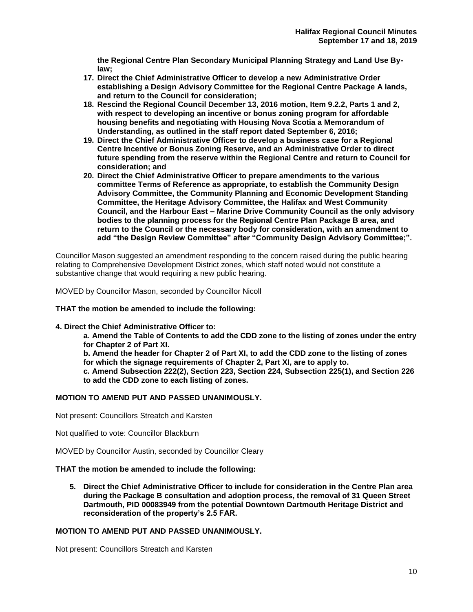**the Regional Centre Plan Secondary Municipal Planning Strategy and Land Use Bylaw;**

- **17. Direct the Chief Administrative Officer to develop a new Administrative Order establishing a Design Advisory Committee for the Regional Centre Package A lands, and return to the Council for consideration;**
- **18. Rescind the Regional Council December 13, 2016 motion, Item 9.2.2, Parts 1 and 2, with respect to developing an incentive or bonus zoning program for affordable housing benefits and negotiating with Housing Nova Scotia a Memorandum of Understanding, as outlined in the staff report dated September 6, 2016;**
- **19. Direct the Chief Administrative Officer to develop a business case for a Regional Centre Incentive or Bonus Zoning Reserve, and an Administrative Order to direct future spending from the reserve within the Regional Centre and return to Council for consideration; and**
- **20. Direct the Chief Administrative Officer to prepare amendments to the various committee Terms of Reference as appropriate, to establish the Community Design Advisory Committee, the Community Planning and Economic Development Standing Committee, the Heritage Advisory Committee, the Halifax and West Community Council, and the Harbour East – Marine Drive Community Council as the only advisory bodies to the planning process for the Regional Centre Plan Package B area, and return to the Council or the necessary body for consideration, with an amendment to add "the Design Review Committee" after "Community Design Advisory Committee;".**

Councillor Mason suggested an amendment responding to the concern raised during the public hearing relating to Comprehensive Development District zones, which staff noted would not constitute a substantive change that would requiring a new public hearing.

MOVED by Councillor Mason, seconded by Councillor Nicoll

**THAT the motion be amended to include the following:** 

#### **4. Direct the Chief Administrative Officer to:**

**a. Amend the Table of Contents to add the CDD zone to the listing of zones under the entry for Chapter 2 of Part XI.** 

**b. Amend the header for Chapter 2 of Part XI, to add the CDD zone to the listing of zones for which the signage requirements of Chapter 2, Part XI, are to apply to.**

**c. Amend Subsection 222(2), Section 223, Section 224, Subsection 225(1), and Section 226 to add the CDD zone to each listing of zones.**

#### **MOTION TO AMEND PUT AND PASSED UNANIMOUSLY.**

Not present: Councillors Streatch and Karsten

Not qualified to vote: Councillor Blackburn

MOVED by Councillor Austin, seconded by Councillor Cleary

#### **THAT the motion be amended to include the following:**

**5. Direct the Chief Administrative Officer to include for consideration in the Centre Plan area during the Package B consultation and adoption process, the removal of 31 Queen Street Dartmouth, PID 00083949 from the potential Downtown Dartmouth Heritage District and reconsideration of the property's 2.5 FAR.**

#### **MOTION TO AMEND PUT AND PASSED UNANIMOUSLY.**

Not present: Councillors Streatch and Karsten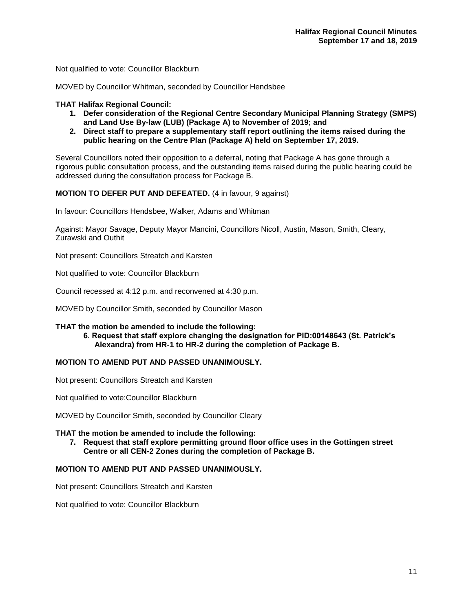Not qualified to vote: Councillor Blackburn

MOVED by Councillor Whitman, seconded by Councillor Hendsbee

#### **THAT Halifax Regional Council:**

- **1. Defer consideration of the Regional Centre Secondary Municipal Planning Strategy (SMPS) and Land Use By-law (LUB) (Package A) to November of 2019; and**
- **2. Direct staff to prepare a supplementary staff report outlining the items raised during the public hearing on the Centre Plan (Package A) held on September 17, 2019.**

Several Councillors noted their opposition to a deferral, noting that Package A has gone through a rigorous public consultation process, and the outstanding items raised during the public hearing could be addressed during the consultation process for Package B.

#### **MOTION TO DEFER PUT AND DEFEATED.** (4 in favour, 9 against)

In favour: Councillors Hendsbee, Walker, Adams and Whitman

Against: Mayor Savage, Deputy Mayor Mancini, Councillors Nicoll, Austin, Mason, Smith, Cleary, Zurawski and Outhit

Not present: Councillors Streatch and Karsten

Not qualified to vote: Councillor Blackburn

Council recessed at 4:12 p.m. and reconvened at 4:30 p.m.

MOVED by Councillor Smith, seconded by Councillor Mason

## **THAT the motion be amended to include the following:**

**6. Request that staff explore changing the designation for PID:00148643 (St. Patrick's Alexandra) from HR-1 to HR-2 during the completion of Package B.** 

#### **MOTION TO AMEND PUT AND PASSED UNANIMOUSLY.**

Not present: Councillors Streatch and Karsten

Not qualified to vote:Councillor Blackburn

MOVED by Councillor Smith, seconded by Councillor Cleary

#### **THAT the motion be amended to include the following:**

**7. Request that staff explore permitting ground floor office uses in the Gottingen street Centre or all CEN-2 Zones during the completion of Package B.**

#### **MOTION TO AMEND PUT AND PASSED UNANIMOUSLY.**

Not present: Councillors Streatch and Karsten

Not qualified to vote: Councillor Blackburn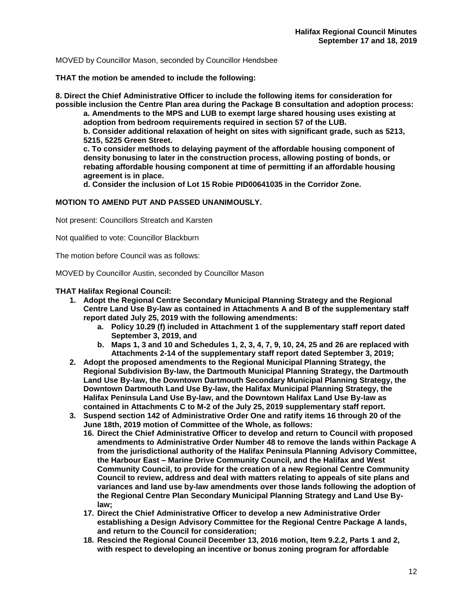MOVED by Councillor Mason, seconded by Councillor Hendsbee

**THAT the motion be amended to include the following:**

**8. Direct the Chief Administrative Officer to include the following items for consideration for possible inclusion the Centre Plan area during the Package B consultation and adoption process:** 

**a. Amendments to the MPS and LUB to exempt large shared housing uses existing at adoption from bedroom requirements required in section 57 of the LUB. b. Consider additional relaxation of height on sites with significant grade, such as 5213, 5215, 5225 Green Street.** 

**c. To consider methods to delaying payment of the affordable housing component of density bonusing to later in the construction process, allowing posting of bonds, or rebating affordable housing component at time of permitting if an affordable housing agreement is in place.** 

**d. Consider the inclusion of Lot 15 Robie PID00641035 in the Corridor Zone.**

#### **MOTION TO AMEND PUT AND PASSED UNANIMOUSLY.**

Not present: Councillors Streatch and Karsten

Not qualified to vote: Councillor Blackburn

The motion before Council was as follows:

MOVED by Councillor Austin, seconded by Councillor Mason

#### **THAT Halifax Regional Council:**

- **1. Adopt the Regional Centre Secondary Municipal Planning Strategy and the Regional Centre Land Use By-law as contained in Attachments A and B of the supplementary staff report dated July 25, 2019 with the following amendments:**
	- **a. Policy 10.29 (f) included in Attachment 1 of the supplementary staff report dated September 3, 2019, and**
	- **b. Maps 1, 3 and 10 and Schedules 1, 2, 3, 4, 7, 9, 10, 24, 25 and 26 are replaced with Attachments 2-14 of the supplementary staff report dated September 3, 2019;**
- **2. Adopt the proposed amendments to the Regional Municipal Planning Strategy, the Regional Subdivision By-law, the Dartmouth Municipal Planning Strategy, the Dartmouth Land Use By-law, the Downtown Dartmouth Secondary Municipal Planning Strategy, the Downtown Dartmouth Land Use By-law, the Halifax Municipal Planning Strategy, the Halifax Peninsula Land Use By-law, and the Downtown Halifax Land Use By-law as contained in Attachments C to M-2 of the July 25, 2019 supplementary staff report.**
- **3. Suspend section 142 of Administrative Order One and ratify items 16 through 20 of the June 18th, 2019 motion of Committee of the Whole, as follows:**
	- **16. Direct the Chief Administrative Officer to develop and return to Council with proposed amendments to Administrative Order Number 48 to remove the lands within Package A from the jurisdictional authority of the Halifax Peninsula Planning Advisory Committee, the Harbour East – Marine Drive Community Council, and the Halifax and West Community Council, to provide for the creation of a new Regional Centre Community Council to review, address and deal with matters relating to appeals of site plans and variances and land use by-law amendments over those lands following the adoption of the Regional Centre Plan Secondary Municipal Planning Strategy and Land Use Bylaw;**
	- **17. Direct the Chief Administrative Officer to develop a new Administrative Order establishing a Design Advisory Committee for the Regional Centre Package A lands, and return to the Council for consideration;**
	- **18. Rescind the Regional Council December 13, 2016 motion, Item 9.2.2, Parts 1 and 2, with respect to developing an incentive or bonus zoning program for affordable**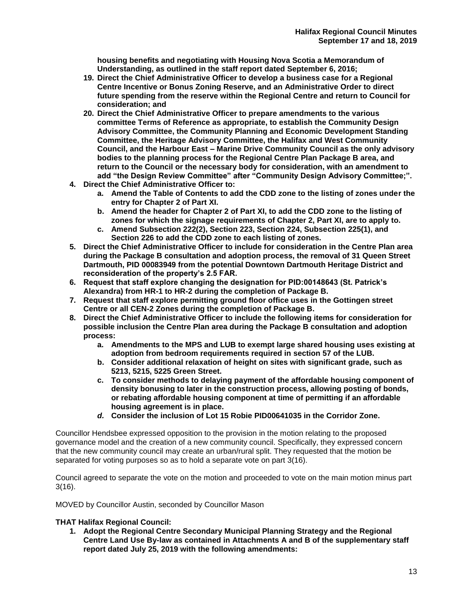**housing benefits and negotiating with Housing Nova Scotia a Memorandum of Understanding, as outlined in the staff report dated September 6, 2016;**

- **19. Direct the Chief Administrative Officer to develop a business case for a Regional Centre Incentive or Bonus Zoning Reserve, and an Administrative Order to direct future spending from the reserve within the Regional Centre and return to Council for consideration; and**
- **20. Direct the Chief Administrative Officer to prepare amendments to the various committee Terms of Reference as appropriate, to establish the Community Design Advisory Committee, the Community Planning and Economic Development Standing Committee, the Heritage Advisory Committee, the Halifax and West Community Council, and the Harbour East – Marine Drive Community Council as the only advisory bodies to the planning process for the Regional Centre Plan Package B area, and return to the Council or the necessary body for consideration, with an amendment to add "the Design Review Committee" after "Community Design Advisory Committee;".**
- **4. Direct the Chief Administrative Officer to:**
	- **a. Amend the Table of Contents to add the CDD zone to the listing of zones under the entry for Chapter 2 of Part XI.**
	- **b. Amend the header for Chapter 2 of Part XI, to add the CDD zone to the listing of zones for which the signage requirements of Chapter 2, Part XI, are to apply to.**
	- **c. Amend Subsection 222(2), Section 223, Section 224, Subsection 225(1), and Section 226 to add the CDD zone to each listing of zones.**
- **5. Direct the Chief Administrative Officer to include for consideration in the Centre Plan area during the Package B consultation and adoption process, the removal of 31 Queen Street Dartmouth, PID 00083949 from the potential Downtown Dartmouth Heritage District and reconsideration of the property's 2.5 FAR.**
- **6. Request that staff explore changing the designation for PID:00148643 (St. Patrick's Alexandra) from HR-1 to HR-2 during the completion of Package B.**
- **7. Request that staff explore permitting ground floor office uses in the Gottingen street Centre or all CEN-2 Zones during the completion of Package B.**
- **8. Direct the Chief Administrative Officer to include the following items for consideration for possible inclusion the Centre Plan area during the Package B consultation and adoption process:**
	- **a. Amendments to the MPS and LUB to exempt large shared housing uses existing at adoption from bedroom requirements required in section 57 of the LUB.**
	- **b. Consider additional relaxation of height on sites with significant grade, such as 5213, 5215, 5225 Green Street.**
	- **c. To consider methods to delaying payment of the affordable housing component of density bonusing to later in the construction process, allowing posting of bonds, or rebating affordable housing component at time of permitting if an affordable housing agreement is in place.**
	- *d.* **Consider the inclusion of Lot 15 Robie PID00641035 in the Corridor Zone.**

Councillor Hendsbee expressed opposition to the provision in the motion relating to the proposed governance model and the creation of a new community council. Specifically, they expressed concern that the new community council may create an urban/rural split. They requested that the motion be separated for voting purposes so as to hold a separate vote on part 3(16).

Council agreed to separate the vote on the motion and proceeded to vote on the main motion minus part 3(16).

MOVED by Councillor Austin, seconded by Councillor Mason

#### **THAT Halifax Regional Council:**

**1. Adopt the Regional Centre Secondary Municipal Planning Strategy and the Regional Centre Land Use By-law as contained in Attachments A and B of the supplementary staff report dated July 25, 2019 with the following amendments:**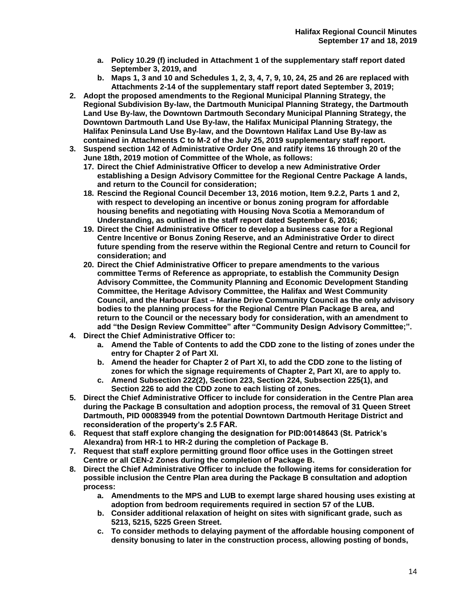- **a. Policy 10.29 (f) included in Attachment 1 of the supplementary staff report dated September 3, 2019, and**
- **b. Maps 1, 3 and 10 and Schedules 1, 2, 3, 4, 7, 9, 10, 24, 25 and 26 are replaced with Attachments 2-14 of the supplementary staff report dated September 3, 2019;**
- **2. Adopt the proposed amendments to the Regional Municipal Planning Strategy, the Regional Subdivision By-law, the Dartmouth Municipal Planning Strategy, the Dartmouth Land Use By-law, the Downtown Dartmouth Secondary Municipal Planning Strategy, the Downtown Dartmouth Land Use By-law, the Halifax Municipal Planning Strategy, the Halifax Peninsula Land Use By-law, and the Downtown Halifax Land Use By-law as contained in Attachments C to M-2 of the July 25, 2019 supplementary staff report.**
- **3. Suspend section 142 of Administrative Order One and ratify items 16 through 20 of the June 18th, 2019 motion of Committee of the Whole, as follows:**
	- **17. Direct the Chief Administrative Officer to develop a new Administrative Order establishing a Design Advisory Committee for the Regional Centre Package A lands, and return to the Council for consideration;**
	- **18. Rescind the Regional Council December 13, 2016 motion, Item 9.2.2, Parts 1 and 2, with respect to developing an incentive or bonus zoning program for affordable housing benefits and negotiating with Housing Nova Scotia a Memorandum of Understanding, as outlined in the staff report dated September 6, 2016;**
	- **19. Direct the Chief Administrative Officer to develop a business case for a Regional Centre Incentive or Bonus Zoning Reserve, and an Administrative Order to direct future spending from the reserve within the Regional Centre and return to Council for consideration; and**
	- **20. Direct the Chief Administrative Officer to prepare amendments to the various committee Terms of Reference as appropriate, to establish the Community Design Advisory Committee, the Community Planning and Economic Development Standing Committee, the Heritage Advisory Committee, the Halifax and West Community Council, and the Harbour East – Marine Drive Community Council as the only advisory bodies to the planning process for the Regional Centre Plan Package B area, and return to the Council or the necessary body for consideration, with an amendment to add "the Design Review Committee" after "Community Design Advisory Committee;".**
- **4. Direct the Chief Administrative Officer to:**
	- **a. Amend the Table of Contents to add the CDD zone to the listing of zones under the entry for Chapter 2 of Part XI.**
	- **b. Amend the header for Chapter 2 of Part XI, to add the CDD zone to the listing of zones for which the signage requirements of Chapter 2, Part XI, are to apply to.**
	- **c. Amend Subsection 222(2), Section 223, Section 224, Subsection 225(1), and Section 226 to add the CDD zone to each listing of zones.**
- **5. Direct the Chief Administrative Officer to include for consideration in the Centre Plan area during the Package B consultation and adoption process, the removal of 31 Queen Street Dartmouth, PID 00083949 from the potential Downtown Dartmouth Heritage District and reconsideration of the property's 2.5 FAR.**
- **6. Request that staff explore changing the designation for PID:00148643 (St. Patrick's Alexandra) from HR-1 to HR-2 during the completion of Package B.**
- **7. Request that staff explore permitting ground floor office uses in the Gottingen street Centre or all CEN-2 Zones during the completion of Package B.**
- **8. Direct the Chief Administrative Officer to include the following items for consideration for possible inclusion the Centre Plan area during the Package B consultation and adoption process:**
	- **a. Amendments to the MPS and LUB to exempt large shared housing uses existing at adoption from bedroom requirements required in section 57 of the LUB.**
	- **b. Consider additional relaxation of height on sites with significant grade, such as 5213, 5215, 5225 Green Street.**
	- **c. To consider methods to delaying payment of the affordable housing component of density bonusing to later in the construction process, allowing posting of bonds,**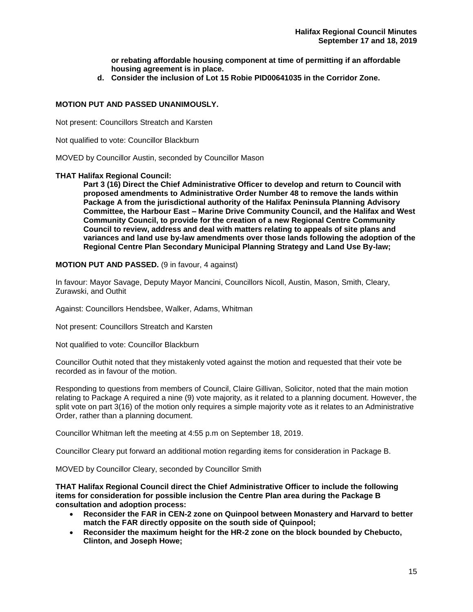**or rebating affordable housing component at time of permitting if an affordable housing agreement is in place.**

**d. Consider the inclusion of Lot 15 Robie PID00641035 in the Corridor Zone.**

#### **MOTION PUT AND PASSED UNANIMOUSLY.**

Not present: Councillors Streatch and Karsten

Not qualified to vote: Councillor Blackburn

MOVED by Councillor Austin, seconded by Councillor Mason

#### **THAT Halifax Regional Council:**

**Part 3 (16) Direct the Chief Administrative Officer to develop and return to Council with proposed amendments to Administrative Order Number 48 to remove the lands within Package A from the jurisdictional authority of the Halifax Peninsula Planning Advisory Committee, the Harbour East – Marine Drive Community Council, and the Halifax and West Community Council, to provide for the creation of a new Regional Centre Community Council to review, address and deal with matters relating to appeals of site plans and variances and land use by-law amendments over those lands following the adoption of the Regional Centre Plan Secondary Municipal Planning Strategy and Land Use By-law;**

**MOTION PUT AND PASSED.** (9 in favour, 4 against)

In favour: Mayor Savage, Deputy Mayor Mancini, Councillors Nicoll, Austin, Mason, Smith, Cleary, Zurawski, and Outhit

Against: Councillors Hendsbee, Walker, Adams, Whitman

Not present: Councillors Streatch and Karsten

Not qualified to vote: Councillor Blackburn

Councillor Outhit noted that they mistakenly voted against the motion and requested that their vote be recorded as in favour of the motion.

Responding to questions from members of Council, Claire Gillivan, Solicitor, noted that the main motion relating to Package A required a nine (9) vote majority, as it related to a planning document. However, the split vote on part 3(16) of the motion only requires a simple majority vote as it relates to an Administrative Order, rather than a planning document.

Councillor Whitman left the meeting at 4:55 p.m on September 18, 2019.

Councillor Cleary put forward an additional motion regarding items for consideration in Package B.

MOVED by Councillor Cleary, seconded by Councillor Smith

**THAT Halifax Regional Council direct the Chief Administrative Officer to include the following items for consideration for possible inclusion the Centre Plan area during the Package B consultation and adoption process:**

- **Reconsider the FAR in CEN-2 zone on Quinpool between Monastery and Harvard to better match the FAR directly opposite on the south side of Quinpool;**
- **Reconsider the maximum height for the HR-2 zone on the block bounded by Chebucto, Clinton, and Joseph Howe;**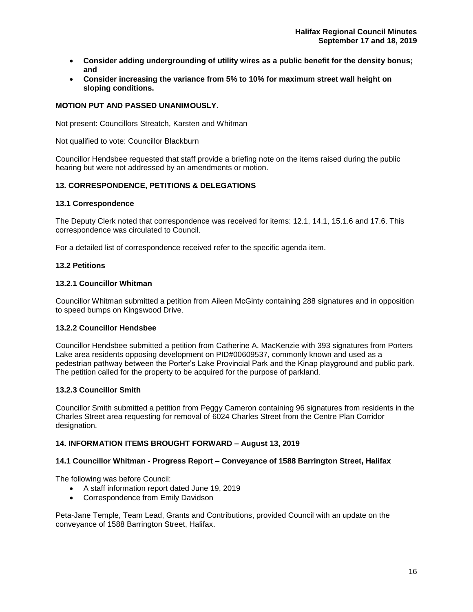- **Consider adding undergrounding of utility wires as a public benefit for the density bonus; and**
- **Consider increasing the variance from 5% to 10% for maximum street wall height on sloping conditions.**

#### **MOTION PUT AND PASSED UNANIMOUSLY.**

Not present: Councillors Streatch, Karsten and Whitman

Not qualified to vote: Councillor Blackburn

Councillor Hendsbee requested that staff provide a briefing note on the items raised during the public hearing but were not addressed by an amendments or motion.

## **13. CORRESPONDENCE, PETITIONS & DELEGATIONS**

#### **13.1 Correspondence**

The Deputy Clerk noted that correspondence was received for items: 12.1, 14.1, 15.1.6 and 17.6. This correspondence was circulated to Council.

For a detailed list of correspondence received refer to the specific agenda item.

#### **13.2 Petitions**

#### **13.2.1 Councillor Whitman**

Councillor Whitman submitted a petition from Aileen McGinty containing 288 signatures and in opposition to speed bumps on Kingswood Drive.

## **13.2.2 Councillor Hendsbee**

Councillor Hendsbee submitted a petition from Catherine A. MacKenzie with 393 signatures from Porters Lake area residents opposing development on PID#00609537, commonly known and used as a pedestrian pathway between the Porter's Lake Provincial Park and the Kinap playground and public park. The petition called for the property to be acquired for the purpose of parkland.

#### **13.2.3 Councillor Smith**

Councillor Smith submitted a petition from Peggy Cameron containing 96 signatures from residents in the Charles Street area requesting for removal of 6024 Charles Street from the Centre Plan Corridor designation.

#### **14. INFORMATION ITEMS BROUGHT FORWARD – August 13, 2019**

#### **14.1 Councillor Whitman - Progress Report – Conveyance of 1588 Barrington Street, Halifax**

The following was before Council:

- A staff information report dated June 19, 2019
- Correspondence from Emily Davidson

Peta-Jane Temple, Team Lead, Grants and Contributions, provided Council with an update on the conveyance of 1588 Barrington Street, Halifax.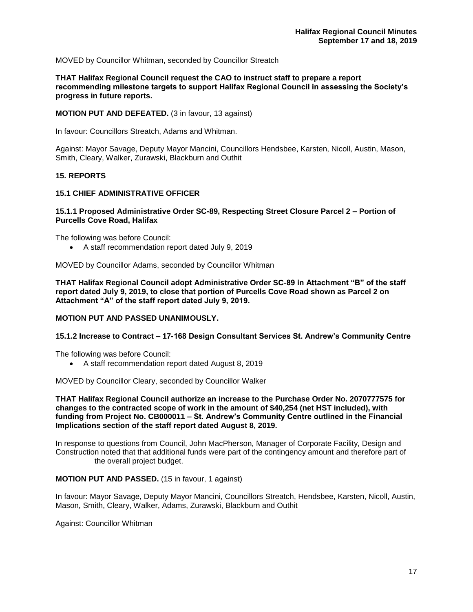MOVED by Councillor Whitman, seconded by Councillor Streatch

**THAT Halifax Regional Council request the CAO to instruct staff to prepare a report recommending milestone targets to support Halifax Regional Council in assessing the Society's progress in future reports.**

**MOTION PUT AND DEFEATED.** (3 in favour, 13 against)

In favour: Councillors Streatch, Adams and Whitman.

Against: Mayor Savage, Deputy Mayor Mancini, Councillors Hendsbee, Karsten, Nicoll, Austin, Mason, Smith, Cleary, Walker, Zurawski, Blackburn and Outhit

#### **15. REPORTS**

#### **15.1 CHIEF ADMINISTRATIVE OFFICER**

#### **15.1.1 Proposed Administrative Order SC-89, Respecting Street Closure Parcel 2 – Portion of Purcells Cove Road, Halifax**

The following was before Council:

• A staff recommendation report dated July 9, 2019

MOVED by Councillor Adams, seconded by Councillor Whitman

**THAT Halifax Regional Council adopt Administrative Order SC-89 in Attachment "B" of the staff report dated July 9, 2019, to close that portion of Purcells Cove Road shown as Parcel 2 on Attachment "A" of the staff report dated July 9, 2019.**

#### **MOTION PUT AND PASSED UNANIMOUSLY.**

#### **15.1.2 Increase to Contract – 17-168 Design Consultant Services St. Andrew's Community Centre**

The following was before Council:

• A staff recommendation report dated August 8, 2019

MOVED by Councillor Cleary, seconded by Councillor Walker

**THAT Halifax Regional Council authorize an increase to the Purchase Order No. 2070777575 for changes to the contracted scope of work in the amount of \$40,254 (net HST included), with funding from Project No. CB000011 – St. Andrew's Community Centre outlined in the Financial Implications section of the staff report dated August 8, 2019.** 

In response to questions from Council, John MacPherson, Manager of Corporate Facility, Design and Construction noted that that additional funds were part of the contingency amount and therefore part of the overall project budget.

#### **MOTION PUT AND PASSED.** (15 in favour, 1 against)

In favour: Mayor Savage, Deputy Mayor Mancini, Councillors Streatch, Hendsbee, Karsten, Nicoll, Austin, Mason, Smith, Cleary, Walker, Adams, Zurawski, Blackburn and Outhit

Against: Councillor Whitman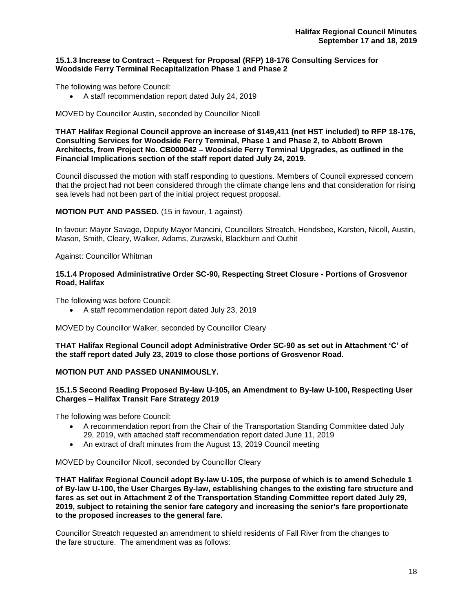#### **15.1.3 Increase to Contract – Request for Proposal (RFP) 18-176 Consulting Services for Woodside Ferry Terminal Recapitalization Phase 1 and Phase 2**

The following was before Council:

• A staff recommendation report dated July 24, 2019

#### MOVED by Councillor Austin, seconded by Councillor Nicoll

**THAT Halifax Regional Council approve an increase of \$149,411 (net HST included) to RFP 18-176, Consulting Services for Woodside Ferry Terminal, Phase 1 and Phase 2, to Abbott Brown Architects, from Project No. CB000042 – Woodside Ferry Terminal Upgrades, as outlined in the Financial Implications section of the staff report dated July 24, 2019.** 

Council discussed the motion with staff responding to questions. Members of Council expressed concern that the project had not been considered through the climate change lens and that consideration for rising sea levels had not been part of the initial project request proposal.

#### **MOTION PUT AND PASSED.** (15 in favour, 1 against)

In favour: Mayor Savage, Deputy Mayor Mancini, Councillors Streatch, Hendsbee, Karsten, Nicoll, Austin, Mason, Smith, Cleary, Walker, Adams, Zurawski, Blackburn and Outhit

Against: Councillor Whitman

#### **15.1.4 Proposed Administrative Order SC-90, Respecting Street Closure - Portions of Grosvenor Road, Halifax**

The following was before Council:

• A staff recommendation report dated July 23, 2019

MOVED by Councillor Walker, seconded by Councillor Cleary

**THAT Halifax Regional Council adopt Administrative Order SC-90 as set out in Attachment 'C' of the staff report dated July 23, 2019 to close those portions of Grosvenor Road.** 

#### **MOTION PUT AND PASSED UNANIMOUSLY.**

#### **15.1.5 Second Reading Proposed By-law U-105, an Amendment to By-law U-100, Respecting User Charges – Halifax Transit Fare Strategy 2019**

The following was before Council:

- A recommendation report from the Chair of the Transportation Standing Committee dated July 29, 2019, with attached staff recommendation report dated June 11, 2019
- An extract of draft minutes from the August 13, 2019 Council meeting

MOVED by Councillor Nicoll, seconded by Councillor Cleary

**THAT Halifax Regional Council adopt By-law U-105, the purpose of which is to amend Schedule 1 of By-law U-100, the User Charges By-law, establishing changes to the existing fare structure and fares as set out in Attachment 2 of the Transportation Standing Committee report dated July 29, 2019, subject to retaining the senior fare category and increasing the senior's fare proportionate to the proposed increases to the general fare.**

Councillor Streatch requested an amendment to shield residents of Fall River from the changes to the fare structure. The amendment was as follows: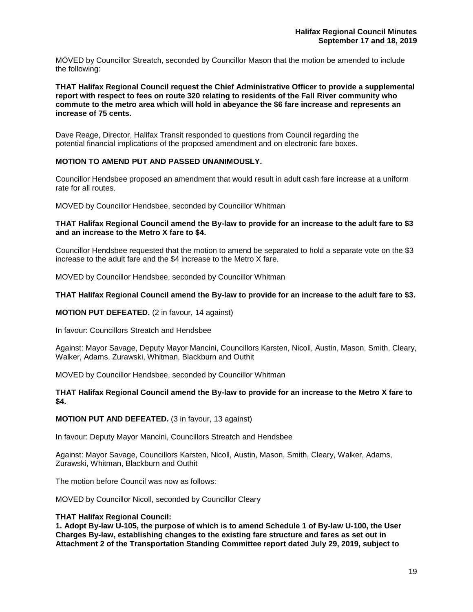MOVED by Councillor Streatch, seconded by Councillor Mason that the motion be amended to include the following:

**THAT Halifax Regional Council request the Chief Administrative Officer to provide a supplemental report with respect to fees on route 320 relating to residents of the Fall River community who commute to the metro area which will hold in abeyance the \$6 fare increase and represents an increase of 75 cents.**

Dave Reage, Director, Halifax Transit responded to questions from Council regarding the potential financial implications of the proposed amendment and on electronic fare boxes.

## **MOTION TO AMEND PUT AND PASSED UNANIMOUSLY.**

Councillor Hendsbee proposed an amendment that would result in adult cash fare increase at a uniform rate for all routes.

MOVED by Councillor Hendsbee, seconded by Councillor Whitman

#### **THAT Halifax Regional Council amend the By-law to provide for an increase to the adult fare to \$3 and an increase to the Metro X fare to \$4.**

Councillor Hendsbee requested that the motion to amend be separated to hold a separate vote on the \$3 increase to the adult fare and the \$4 increase to the Metro X fare.

MOVED by Councillor Hendsbee, seconded by Councillor Whitman

#### **THAT Halifax Regional Council amend the By-law to provide for an increase to the adult fare to \$3.**

**MOTION PUT DEFEATED.** (2 in favour, 14 against)

In favour: Councillors Streatch and Hendsbee

Against: Mayor Savage, Deputy Mayor Mancini, Councillors Karsten, Nicoll, Austin, Mason, Smith, Cleary, Walker, Adams, Zurawski, Whitman, Blackburn and Outhit

MOVED by Councillor Hendsbee, seconded by Councillor Whitman

#### **THAT Halifax Regional Council amend the By-law to provide for an increase to the Metro X fare to \$4.**

**MOTION PUT AND DEFEATED.** (3 in favour, 13 against)

In favour: Deputy Mayor Mancini, Councillors Streatch and Hendsbee

Against: Mayor Savage, Councillors Karsten, Nicoll, Austin, Mason, Smith, Cleary, Walker, Adams, Zurawski, Whitman, Blackburn and Outhit

The motion before Council was now as follows:

MOVED by Councillor Nicoll, seconded by Councillor Cleary

#### **THAT Halifax Regional Council:**

**1. Adopt By-law U-105, the purpose of which is to amend Schedule 1 of By-law U-100, the User Charges By-law, establishing changes to the existing fare structure and fares as set out in Attachment 2 of the Transportation Standing Committee report dated July 29, 2019, subject to**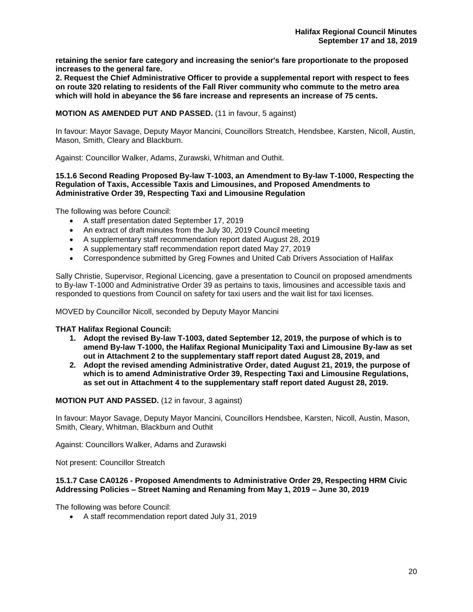**retaining the senior fare category and increasing the senior's fare proportionate to the proposed increases to the general fare.**

**2. Request the Chief Administrative Officer to provide a supplemental report with respect to fees on route 320 relating to residents of the Fall River community who commute to the metro area which will hold in abeyance the \$6 fare increase and represents an increase of 75 cents.** 

#### **MOTION AS AMENDED PUT AND PASSED.** (11 in favour, 5 against)

In favour: Mayor Savage, Deputy Mayor Mancini, Councillors Streatch, Hendsbee, Karsten, Nicoll, Austin, Mason, Smith, Cleary and Blackburn.

Against: Councillor Walker, Adams, Zurawski, Whitman and Outhit.

#### **15.1.6 Second Reading Proposed By-law T-1003, an Amendment to By-law T-1000, Respecting the Regulation of Taxis, Accessible Taxis and Limousines, and Proposed Amendments to Administrative Order 39, Respecting Taxi and Limousine Regulation**

The following was before Council:

- A staff presentation dated September 17, 2019
- An extract of draft minutes from the July 30, 2019 Council meeting
- A supplementary staff recommendation report dated August 28, 2019
- A supplementary staff recommendation report dated May 27, 2019
- Correspondence submitted by Greg Fownes and United Cab Drivers Association of Halifax

Sally Christie, Supervisor, Regional Licencing, gave a presentation to Council on proposed amendments to By-law T-1000 and Administrative Order 39 as pertains to taxis, limousines and accessible taxis and responded to questions from Council on safety for taxi users and the wait list for taxi licenses.

MOVED by Councillor Nicoll, seconded by Deputy Mayor Mancini

#### **THAT Halifax Regional Council:**

- **1. Adopt the revised By-law T-1003, dated September 12, 2019, the purpose of which is to amend By-law T-1000, the Halifax Regional Municipality Taxi and Limousine By-law as set out in Attachment 2 to the supplementary staff report dated August 28, 2019, and**
- **2. Adopt the revised amending Administrative Order, dated August 21, 2019, the purpose of which is to amend Administrative Order 39, Respecting Taxi and Limousine Regulations, as set out in Attachment 4 to the supplementary staff report dated August 28, 2019.**

#### **MOTION PUT AND PASSED.** (12 in favour, 3 against)

In favour: Mayor Savage, Deputy Mayor Mancini, Councillors Hendsbee, Karsten, Nicoll, Austin, Mason, Smith, Cleary, Whitman, Blackburn and Outhit

Against: Councillors Walker, Adams and Zurawski

Not present: Councillor Streatch

#### **15.1.7 Case CA0126 - Proposed Amendments to Administrative Order 29, Respecting HRM Civic Addressing Policies – Street Naming and Renaming from May 1, 2019 – June 30, 2019**

The following was before Council:

• A staff recommendation report dated July 31, 2019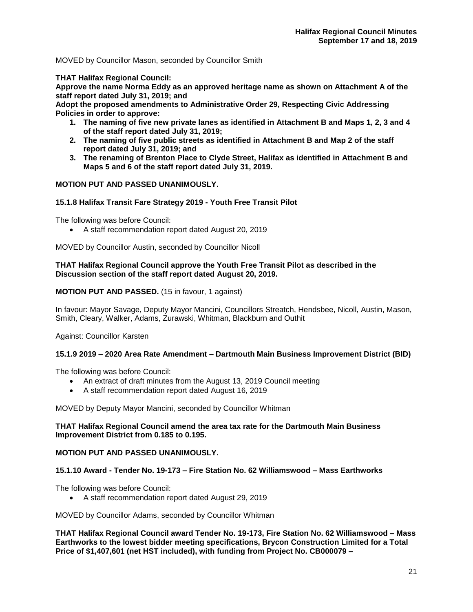MOVED by Councillor Mason, seconded by Councillor Smith

**THAT Halifax Regional Council:**

**Approve the name Norma Eddy as an approved heritage name as shown on Attachment A of the staff report dated July 31, 2019; and**

**Adopt the proposed amendments to Administrative Order 29, Respecting Civic Addressing Policies in order to approve:**

- **1. The naming of five new private lanes as identified in Attachment B and Maps 1, 2, 3 and 4 of the staff report dated July 31, 2019;**
- **2. The naming of five public streets as identified in Attachment B and Map 2 of the staff report dated July 31, 2019; and**
- **3. The renaming of Brenton Place to Clyde Street, Halifax as identified in Attachment B and Maps 5 and 6 of the staff report dated July 31, 2019.**

## **MOTION PUT AND PASSED UNANIMOUSLY.**

## **15.1.8 Halifax Transit Fare Strategy 2019 - Youth Free Transit Pilot**

The following was before Council:

• A staff recommendation report dated August 20, 2019

MOVED by Councillor Austin, seconded by Councillor Nicoll

#### **THAT Halifax Regional Council approve the Youth Free Transit Pilot as described in the Discussion section of the staff report dated August 20, 2019.**

**MOTION PUT AND PASSED.** (15 in favour, 1 against)

In favour: Mayor Savage, Deputy Mayor Mancini, Councillors Streatch, Hendsbee, Nicoll, Austin, Mason, Smith, Cleary, Walker, Adams, Zurawski, Whitman, Blackburn and Outhit

Against: Councillor Karsten

#### **15.1.9 2019 – 2020 Area Rate Amendment – Dartmouth Main Business Improvement District (BID)**

The following was before Council:

- An extract of draft minutes from the August 13, 2019 Council meeting
- A staff recommendation report dated August 16, 2019

MOVED by Deputy Mayor Mancini, seconded by Councillor Whitman

#### **THAT Halifax Regional Council amend the area tax rate for the Dartmouth Main Business Improvement District from 0.185 to 0.195.**

#### **MOTION PUT AND PASSED UNANIMOUSLY.**

#### **15.1.10 Award - Tender No. 19-173 – Fire Station No. 62 Williamswood – Mass Earthworks**

The following was before Council:

• A staff recommendation report dated August 29, 2019

MOVED by Councillor Adams, seconded by Councillor Whitman

**THAT Halifax Regional Council award Tender No. 19-173, Fire Station No. 62 Williamswood – Mass Earthworks to the lowest bidder meeting specifications, Brycon Construction Limited for a Total Price of \$1,407,601 (net HST included), with funding from Project No. CB000079 –**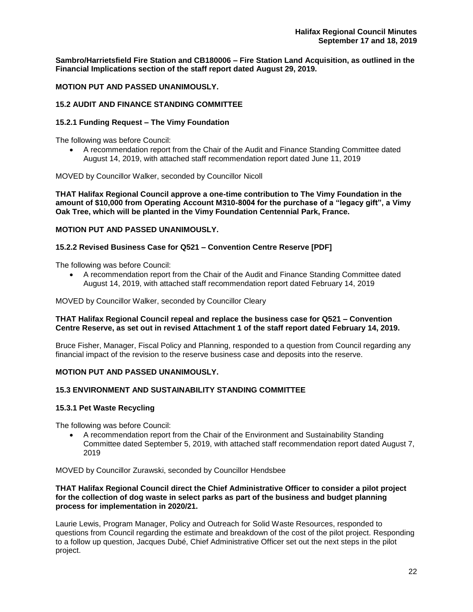**Sambro/Harrietsfield Fire Station and CB180006 – Fire Station Land Acquisition, as outlined in the Financial Implications section of the staff report dated August 29, 2019.**

**MOTION PUT AND PASSED UNANIMOUSLY.** 

## **15.2 AUDIT AND FINANCE STANDING COMMITTEE**

#### **15.2.1 Funding Request – The Vimy Foundation**

The following was before Council:

• A recommendation report from the Chair of the Audit and Finance Standing Committee dated August 14, 2019, with attached staff recommendation report dated June 11, 2019

MOVED by Councillor Walker, seconded by Councillor Nicoll

**THAT Halifax Regional Council approve a one-time contribution to The Vimy Foundation in the amount of \$10,000 from Operating Account M310-8004 for the purchase of a "legacy gift", a Vimy Oak Tree, which will be planted in the Vimy Foundation Centennial Park, France.**

## **MOTION PUT AND PASSED UNANIMOUSLY.**

#### **15.2.2 Revised Business Case for Q521 – Convention Centre Reserve [PDF]**

The following was before Council:

• A recommendation report from the Chair of the Audit and Finance Standing Committee dated August 14, 2019, with attached staff recommendation report dated February 14, 2019

MOVED by Councillor Walker, seconded by Councillor Cleary

#### **THAT Halifax Regional Council repeal and replace the business case for Q521 – Convention Centre Reserve, as set out in revised Attachment 1 of the staff report dated February 14, 2019.**

Bruce Fisher, Manager, Fiscal Policy and Planning, responded to a question from Council regarding any financial impact of the revision to the reserve business case and deposits into the reserve.

#### **MOTION PUT AND PASSED UNANIMOUSLY.**

#### **15.3 ENVIRONMENT AND SUSTAINABILITY STANDING COMMITTEE**

#### **15.3.1 Pet Waste Recycling**

The following was before Council:

• A recommendation report from the Chair of the Environment and Sustainability Standing Committee dated September 5, 2019, with attached staff recommendation report dated August 7, 2019

MOVED by Councillor Zurawski, seconded by Councillor Hendsbee

#### **THAT Halifax Regional Council direct the Chief Administrative Officer to consider a pilot project for the collection of dog waste in select parks as part of the business and budget planning process for implementation in 2020/21.**

Laurie Lewis, Program Manager, Policy and Outreach for Solid Waste Resources, responded to questions from Council regarding the estimate and breakdown of the cost of the pilot project. Responding to a follow up question, Jacques Dubé, Chief Administrative Officer set out the next steps in the pilot project.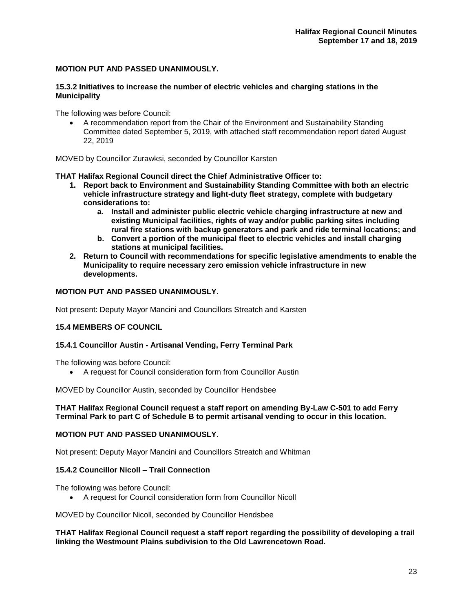## **MOTION PUT AND PASSED UNANIMOUSLY.**

#### **15.3.2 Initiatives to increase the number of electric vehicles and charging stations in the Municipality**

The following was before Council:

• A recommendation report from the Chair of the Environment and Sustainability Standing Committee dated September 5, 2019, with attached staff recommendation report dated August 22, 2019

MOVED by Councillor Zurawksi, seconded by Councillor Karsten

**THAT Halifax Regional Council direct the Chief Administrative Officer to:**

- **1. Report back to Environment and Sustainability Standing Committee with both an electric vehicle infrastructure strategy and light-duty fleet strategy, complete with budgetary considerations to:**
	- **a. Install and administer public electric vehicle charging infrastructure at new and existing Municipal facilities, rights of way and/or public parking sites including rural fire stations with backup generators and park and ride terminal locations; and**
	- **b. Convert a portion of the municipal fleet to electric vehicles and install charging stations at municipal facilities.**
- **2. Return to Council with recommendations for specific legislative amendments to enable the Municipality to require necessary zero emission vehicle infrastructure in new developments.**

## **MOTION PUT AND PASSED UNANIMOUSLY.**

Not present: Deputy Mayor Mancini and Councillors Streatch and Karsten

## **15.4 MEMBERS OF COUNCIL**

#### **15.4.1 Councillor Austin - Artisanal Vending, Ferry Terminal Park**

The following was before Council:

• A request for Council consideration form from Councillor Austin

MOVED by Councillor Austin, seconded by Councillor Hendsbee

#### **THAT Halifax Regional Council request a staff report on amending By-Law C-501 to add Ferry Terminal Park to part C of Schedule B to permit artisanal vending to occur in this location.**

## **MOTION PUT AND PASSED UNANIMOUSLY.**

Not present: Deputy Mayor Mancini and Councillors Streatch and Whitman

#### **15.4.2 Councillor Nicoll – Trail Connection**

The following was before Council:

• A request for Council consideration form from Councillor Nicoll

MOVED by Councillor Nicoll, seconded by Councillor Hendsbee

#### **THAT Halifax Regional Council request a staff report regarding the possibility of developing a trail linking the Westmount Plains subdivision to the Old Lawrencetown Road.**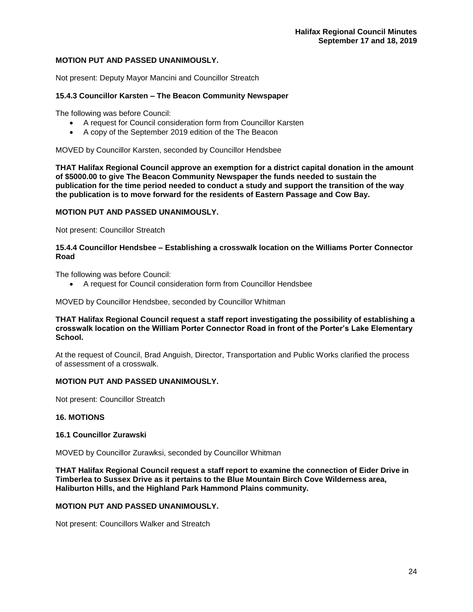## **MOTION PUT AND PASSED UNANIMOUSLY.**

Not present: Deputy Mayor Mancini and Councillor Streatch

#### **15.4.3 Councillor Karsten – The Beacon Community Newspaper**

The following was before Council:

- A request for Council consideration form from Councillor Karsten
- A copy of the September 2019 edition of the The Beacon

MOVED by Councillor Karsten, seconded by Councillor Hendsbee

**THAT Halifax Regional Council approve an exemption for a district capital donation in the amount of \$5000.00 to give The Beacon Community Newspaper the funds needed to sustain the publication for the time period needed to conduct a study and support the transition of the way the publication is to move forward for the residents of Eastern Passage and Cow Bay.**

## **MOTION PUT AND PASSED UNANIMOUSLY.**

Not present: Councillor Streatch

#### **15.4.4 Councillor Hendsbee – Establishing a crosswalk location on the Williams Porter Connector Road**

The following was before Council:

• A request for Council consideration form from Councillor Hendsbee

MOVED by Councillor Hendsbee, seconded by Councillor Whitman

#### **THAT Halifax Regional Council request a staff report investigating the possibility of establishing a crosswalk location on the William Porter Connector Road in front of the Porter's Lake Elementary School.**

At the request of Council, Brad Anguish, Director, Transportation and Public Works clarified the process of assessment of a crosswalk.

#### **MOTION PUT AND PASSED UNANIMOUSLY.**

Not present: Councillor Streatch

## **16. MOTIONS**

#### **16.1 Councillor Zurawski**

MOVED by Councillor Zurawksi, seconded by Councillor Whitman

**THAT Halifax Regional Council request a staff report to examine the connection of Eider Drive in Timberlea to Sussex Drive as it pertains to the Blue Mountain Birch Cove Wilderness area, Haliburton Hills, and the Highland Park Hammond Plains community.** 

#### **MOTION PUT AND PASSED UNANIMOUSLY.**

Not present: Councillors Walker and Streatch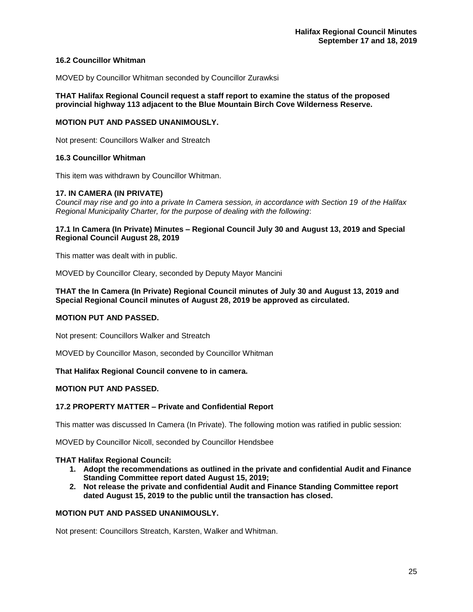#### **16.2 Councillor Whitman**

MOVED by Councillor Whitman seconded by Councillor Zurawksi

#### **THAT Halifax Regional Council request a staff report to examine the status of the proposed provincial highway 113 adjacent to the Blue Mountain Birch Cove Wilderness Reserve.**

#### **MOTION PUT AND PASSED UNANIMOUSLY.**

Not present: Councillors Walker and Streatch

#### **16.3 Councillor Whitman**

This item was withdrawn by Councillor Whitman.

#### **17. IN CAMERA (IN PRIVATE)**

*Council may rise and go into a private In Camera session, in accordance with Section 19 of the Halifax Regional Municipality Charter, for the purpose of dealing with the following*:

#### **17.1 In Camera (In Private) Minutes – Regional Council July 30 and August 13, 2019 and Special Regional Council August 28, 2019**

This matter was dealt with in public.

MOVED by Councillor Cleary, seconded by Deputy Mayor Mancini

#### **THAT the In Camera (In Private) Regional Council minutes of July 30 and August 13, 2019 and Special Regional Council minutes of August 28, 2019 be approved as circulated.**

#### **MOTION PUT AND PASSED.**

Not present: Councillors Walker and Streatch

MOVED by Councillor Mason, seconded by Councillor Whitman

#### **That Halifax Regional Council convene to in camera.**

#### **MOTION PUT AND PASSED.**

#### **17.2 PROPERTY MATTER – Private and Confidential Report**

This matter was discussed In Camera (In Private). The following motion was ratified in public session:

MOVED by Councillor Nicoll, seconded by Councillor Hendsbee

#### **THAT Halifax Regional Council:**

- **1. Adopt the recommendations as outlined in the private and confidential Audit and Finance Standing Committee report dated August 15, 2019;**
- **2. Not release the private and confidential Audit and Finance Standing Committee report dated August 15, 2019 to the public until the transaction has closed.**

#### **MOTION PUT AND PASSED UNANIMOUSLY.**

Not present: Councillors Streatch, Karsten, Walker and Whitman.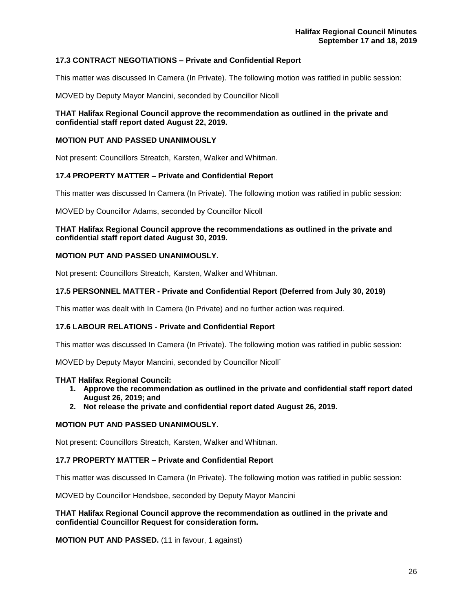## **17.3 CONTRACT NEGOTIATIONS – Private and Confidential Report**

This matter was discussed In Camera (In Private). The following motion was ratified in public session:

MOVED by Deputy Mayor Mancini, seconded by Councillor Nicoll

#### **THAT Halifax Regional Council approve the recommendation as outlined in the private and confidential staff report dated August 22, 2019.**

#### **MOTION PUT AND PASSED UNANIMOUSLY**

Not present: Councillors Streatch, Karsten, Walker and Whitman.

#### **17.4 PROPERTY MATTER – Private and Confidential Report**

This matter was discussed In Camera (In Private). The following motion was ratified in public session:

MOVED by Councillor Adams, seconded by Councillor Nicoll

#### **THAT Halifax Regional Council approve the recommendations as outlined in the private and confidential staff report dated August 30, 2019.**

#### **MOTION PUT AND PASSED UNANIMOUSLY.**

Not present: Councillors Streatch, Karsten, Walker and Whitman.

#### **17.5 PERSONNEL MATTER - Private and Confidential Report (Deferred from July 30, 2019)**

This matter was dealt with In Camera (In Private) and no further action was required.

## **17.6 LABOUR RELATIONS - Private and Confidential Report**

This matter was discussed In Camera (In Private). The following motion was ratified in public session:

MOVED by Deputy Mayor Mancini, seconded by Councillor Nicoll`

#### **THAT Halifax Regional Council:**

- **1. Approve the recommendation as outlined in the private and confidential staff report dated August 26, 2019; and**
- **2. Not release the private and confidential report dated August 26, 2019.**

#### **MOTION PUT AND PASSED UNANIMOUSLY.**

Not present: Councillors Streatch, Karsten, Walker and Whitman.

#### **17.7 PROPERTY MATTER – Private and Confidential Report**

This matter was discussed In Camera (In Private). The following motion was ratified in public session:

MOVED by Councillor Hendsbee, seconded by Deputy Mayor Mancini

#### **THAT Halifax Regional Council approve the recommendation as outlined in the private and confidential Councillor Request for consideration form.**

**MOTION PUT AND PASSED.** (11 in favour, 1 against)